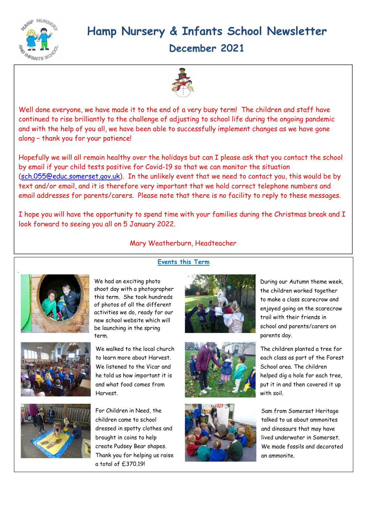

# Hamp Nursery & Infants School Newsletter

December 2021



Well done everyone, we have made it to the end of a very busy term! The children and staff have continued to rise brilliantly to the challenge of adjusting to school life during the ongoing pandemic and with the help of you all, we have been able to successfully implement changes as we have gone along – thank you for your patience!

Hopefully we will all remain healthy over the holidays but can I please ask that you contact the school by email if your child tests positive for Covid-19 so that we can monitor the situation (sch.055@educ.somerset.gov.uk). In the unlikely event that we need to contact you, this would be by text and/or email, and it is therefore very important that we hold correct telephone numbers and email addresses for parents/carers. Please note that there is no facility to reply to these messages.

I hope you will have the opportunity to spend time with your families during the Christmas break and I look forward to seeing you all on 5 January 2022.



Mary Weatherburn, Headteacher

Events this Term

We had an exciting photo shoot day with a photographer this term. She took hundreds of photos of all the different activities we do, ready for our new school website which will be launching in the spring term.





We walked to the local church to learn more about Harvest. We listened to the Vicar and he told us how important it is and what food comes from Harvest.

For Children in Need, the children came to school dressed in spotty clothes and brought in coins to help create Pudsey Bear shapes. Thank you for helping us raise a total of £370.19!







During our Autumn theme week, the children worked together to make a class scarecrow and enjoyed going on the scarecrow trail with their friends in school and parents/carers on parents day.

The children planted a tree for each class as part of the Forest School area. The children helped dig a hole for each tree, put it in and then covered it up with soil.

Sam from Somerset Heritage talked to us about ammonites and dinosaurs that may have lived underwater in Somerset. We made fossils and decorated an ammonite.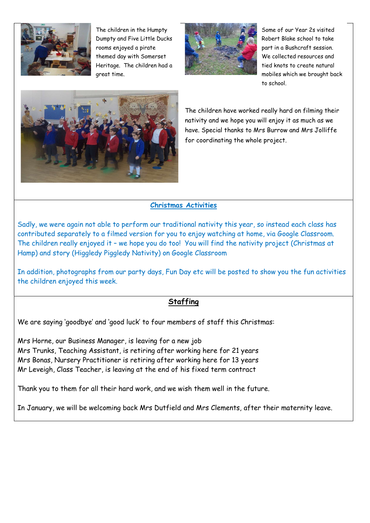

The children in the Humpty Dumpty and Five Little Ducks rooms enjoyed a pirate themed day with Somerset Heritage. The children had a great time.



Some of our Year 2s visited Robert Blake school to take part in a Bushcraft session. We collected resources and tied knots to create natural mobiles which we brought back to school.



The children have worked really hard on filming their nativity and we hope you will enjoy it as much as we have. Special thanks to Mrs Burrow and Mrs Jolliffe for coordinating the whole project.

#### Christmas Activities

Sadly, we were again not able to perform our traditional nativity this year, so instead each class has contributed separately to a filmed version for you to enjoy watching at home, via Google Classroom. The children really enjoyed it – we hope you do too! You will find the nativity project (Christmas at Hamp) and story (Higgledy Piggledy Nativity) on Google Classroom

In addition, photographs from our party days, Fun Day etc will be posted to show you the fun activities the children enjoyed this week.

### **Staffing**

We are saying 'goodbye' and 'good luck' to four members of staff this Christmas:

Mrs Horne, our Business Manager, is leaving for a new job Mrs Trunks, Teaching Assistant, is retiring after working here for 21 years Mrs Bonas, Nursery Practitioner is retiring after working here for 13 years Mr Leveigh, Class Teacher, is leaving at the end of his fixed term contract

Thank you to them for all their hard work, and we wish them well in the future.

In January, we will be welcoming back Mrs Dutfield and Mrs Clements, after their maternity leave.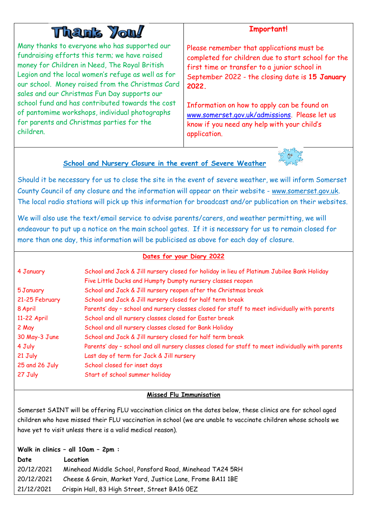# **Than's You!**

Many thanks to everyone who has supported our fundraising efforts this term; we have raised money for Children in Need, The Royal British Legion and the local women's refuge as well as for our school. Money raised from the Christmas Card sales and our Christmas Fun Day supports our school fund and has contributed towards the cost of pantomime workshops, individual photographs for parents and Christmas parties for the children.

## Important!

Please remember that applications must be completed for children due to start school for the first time or transfer to a junior school in September 2022 - the closing date is 15 January 2022.

Information on how to apply can be found on www.somerset.gov.uk/admissions. Please let us know if you need any help with your child's application.

### School and Nursery Closure in the event of Severe Weather



Should it be necessary for us to close the site in the event of severe weather, we will inform Somerset County Council of any closure and the information will appear on their website - www.somerset.gov.uk. The local radio stations will pick up this information for broadcast and/or publication on their websites.

We will also use the text/email service to advise parents/carers, and weather permitting, we will endeavour to put up a notice on the main school gates. If it is necessary for us to remain closed for more than one day, this information will be publicised as above for each day of closure.

#### Dates for your Diary 2022

| 4 January      | School and Jack & Jill nursery closed for holiday in lieu of Platinum Jubilee Bank Holiday<br>Five Little Ducks and Humpty Dumpty nursery classes reopen |  |
|----------------|----------------------------------------------------------------------------------------------------------------------------------------------------------|--|
| 5 January      | School and Jack & Jill nursery reopen after the Christmas break                                                                                          |  |
| 21-25 February | School and Jack & Jill nursery closed for half term break                                                                                                |  |
| 8 April        | Parents' day - school and nursery classes closed for staff to meet individually with parents                                                             |  |
| 11-22 April    | School and all nursery classes closed for Easter break                                                                                                   |  |
| 2 May          | School and all nursery classes closed for Bank Holiday                                                                                                   |  |
| 30 May-3 June  | School and Jack & Jill nursery closed for half term break                                                                                                |  |
| 4 July         | Parents' day - school and all nursery classes closed for staff to meet individually with parents                                                         |  |
| 21 July        | Last day of term for Jack & Jill nursery                                                                                                                 |  |
| 25 and 26 July | School closed for inset days                                                                                                                             |  |
| 27 July        | Start of school summer holiday                                                                                                                           |  |

#### Missed Flu Immunisation

Somerset SAINT will be offering FLU vaccination clinics on the dates below, these clinics are for school aged children who have missed their FLU vaccination in school (we are unable to vaccinate children whose schools we have yet to visit unless there is a valid medical reason).

| Walk in clinics - all 10am - 2pm : |                                                           |  |
|------------------------------------|-----------------------------------------------------------|--|
| Date                               | Location                                                  |  |
| 20/12/2021                         | Minehead Middle School, Ponsford Road, Minehead TA24 5RH  |  |
| 20/12/2021                         | Cheese & Grain, Market Yard, Justice Lane, Frome BA11 1BE |  |
| 21/12/2021                         | Crispin Hall, 83 High Street, Street BA16 OEZ             |  |